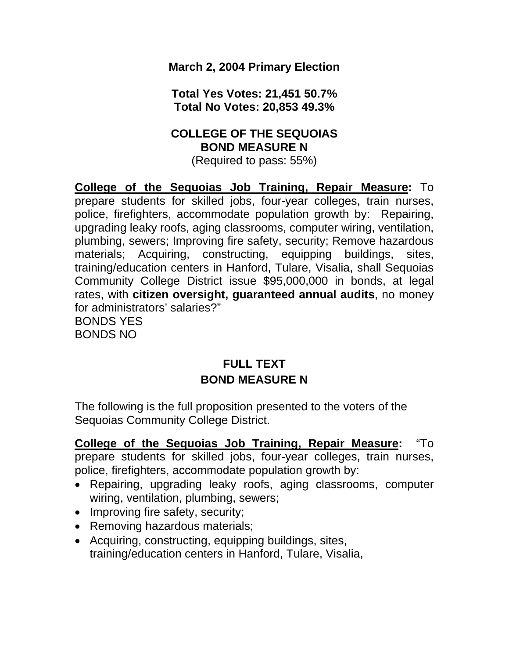**March 2, 2004 Primary Election** 

**Total Yes Votes: 21,451 50.7% Total No Votes: 20,853 49.3%** 

# **COLLEGE OF THE SEQUOIAS BOND MEASURE N**

(Required to pass: 55%)

**College of the Sequoias Job Training, Repair Measure:** To prepare students for skilled jobs, four-year colleges, train nurses, police, firefighters, accommodate population growth by: Repairing, upgrading leaky roofs, aging classrooms, computer wiring, ventilation, plumbing, sewers; Improving fire safety, security; Remove hazardous materials; Acquiring, constructing, equipping buildings, sites, training/education centers in Hanford, Tulare, Visalia, shall Sequoias Community College District issue \$95,000,000 in bonds, at legal rates, with **citizen oversight, guaranteed annual audits**, no money for administrators' salaries?" BONDS YES BONDS NO

# **FULL TEXT BOND MEASURE N**

The following is the full proposition presented to the voters of the Sequoias Community College District.

**College of the Sequoias Job Training, Repair Measure:** "To prepare students for skilled jobs, four-year colleges, train nurses, police, firefighters, accommodate population growth by:

- Repairing, upgrading leaky roofs, aging classrooms, computer wiring, ventilation, plumbing, sewers;
- Improving fire safety, security;
- Removing hazardous materials;
- Acquiring, constructing, equipping buildings, sites, training/education centers in Hanford, Tulare, Visalia,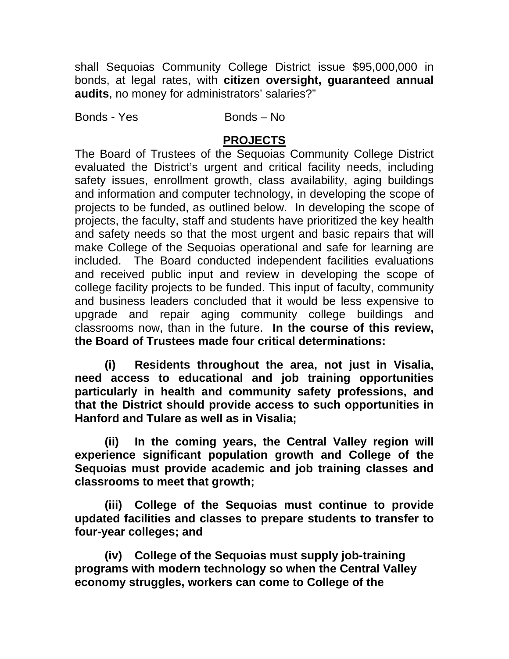shall Sequoias Community College District issue \$95,000,000 in bonds, at legal rates, with **citizen oversight, guaranteed annual audits**, no money for administrators' salaries?"

Bonds - Yes Bonds – No

# **PROJECTS**

The Board of Trustees of the Sequoias Community College District evaluated the District's urgent and critical facility needs, including safety issues, enrollment growth, class availability, aging buildings and information and computer technology, in developing the scope of projects to be funded, as outlined below. In developing the scope of projects, the faculty, staff and students have prioritized the key health and safety needs so that the most urgent and basic repairs that will make College of the Sequoias operational and safe for learning are included. The Board conducted independent facilities evaluations and received public input and review in developing the scope of college facility projects to be funded. This input of faculty, community and business leaders concluded that it would be less expensive to upgrade and repair aging community college buildings and classrooms now, than in the future. **In the course of this review, the Board of Trustees made four critical determinations:** 

**(i) Residents throughout the area, not just in Visalia, need access to educational and job training opportunities particularly in health and community safety professions, and that the District should provide access to such opportunities in Hanford and Tulare as well as in Visalia;** 

**(ii) In the coming years, the Central Valley region will experience significant population growth and College of the Sequoias must provide academic and job training classes and classrooms to meet that growth;** 

**(iii) College of the Sequoias must continue to provide updated facilities and classes to prepare students to transfer to four-year colleges; and** 

 **(iv) College of the Sequoias must supply job-training programs with modern technology so when the Central Valley economy struggles, workers can come to College of the**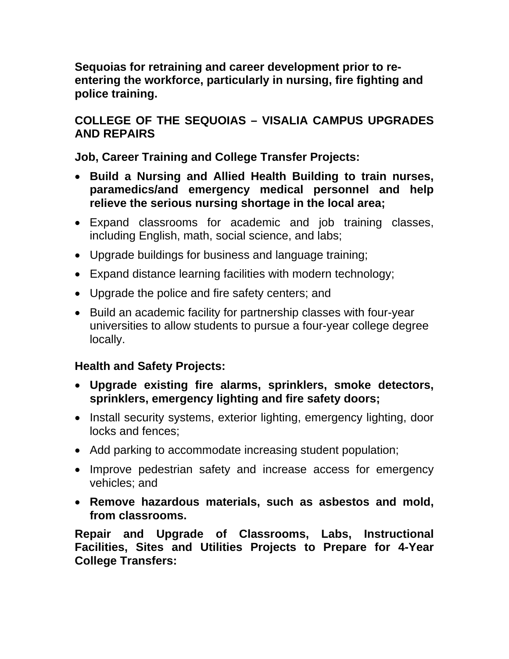**Sequoias for retraining and career development prior to reentering the workforce, particularly in nursing, fire fighting and police training.** 

# **COLLEGE OF THE SEQUOIAS – VISALIA CAMPUS UPGRADES AND REPAIRS**

**Job, Career Training and College Transfer Projects:** 

- **Build a Nursing and Allied Health Building to train nurses, paramedics/and emergency medical personnel and help relieve the serious nursing shortage in the local area;**
- Expand classrooms for academic and job training classes, including English, math, social science, and labs;
- Upgrade buildings for business and language training;
- Expand distance learning facilities with modern technology;
- Upgrade the police and fire safety centers; and
- Build an academic facility for partnership classes with four-year universities to allow students to pursue a four-year college degree locally.

# **Health and Safety Projects:**

- **Upgrade existing fire alarms, sprinklers, smoke detectors, sprinklers, emergency lighting and fire safety doors;**
- Install security systems, exterior lighting, emergency lighting, door locks and fences;
- Add parking to accommodate increasing student population;
- Improve pedestrian safety and increase access for emergency vehicles; and
- **Remove hazardous materials, such as asbestos and mold, from classrooms.**

**Repair and Upgrade of Classrooms, Labs, Instructional Facilities, Sites and Utilities Projects to Prepare for 4-Year College Transfers:**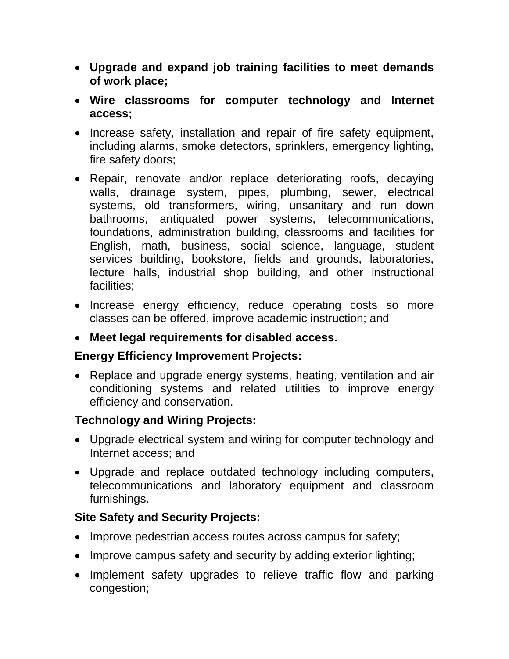- **Upgrade and expand job training facilities to meet demands of work place;**
- **Wire classrooms for computer technology and Internet access;**
- Increase safety, installation and repair of fire safety equipment, including alarms, smoke detectors, sprinklers, emergency lighting, fire safety doors;
- Repair, renovate and/or replace deteriorating roofs, decaying walls, drainage system, pipes, plumbing, sewer, electrical systems, old transformers, wiring, unsanitary and run down bathrooms, antiquated power systems, telecommunications, foundations, administration building, classrooms and facilities for English, math, business, social science, language, student services building, bookstore, fields and grounds, laboratories, lecture halls, industrial shop building, and other instructional facilities;
- Increase energy efficiency, reduce operating costs so more classes can be offered, improve academic instruction; and
- **Meet legal requirements for disabled access.**

# **Energy Efficiency Improvement Projects:**

• Replace and upgrade energy systems, heating, ventilation and air conditioning systems and related utilities to improve energy efficiency and conservation.

# **Technology and Wiring Projects:**

- Upgrade electrical system and wiring for computer technology and Internet access; and
- Upgrade and replace outdated technology including computers, telecommunications and laboratory equipment and classroom furnishings.

# **Site Safety and Security Projects:**

- Improve pedestrian access routes across campus for safety;
- Improve campus safety and security by adding exterior lighting;
- Implement safety upgrades to relieve traffic flow and parking congestion;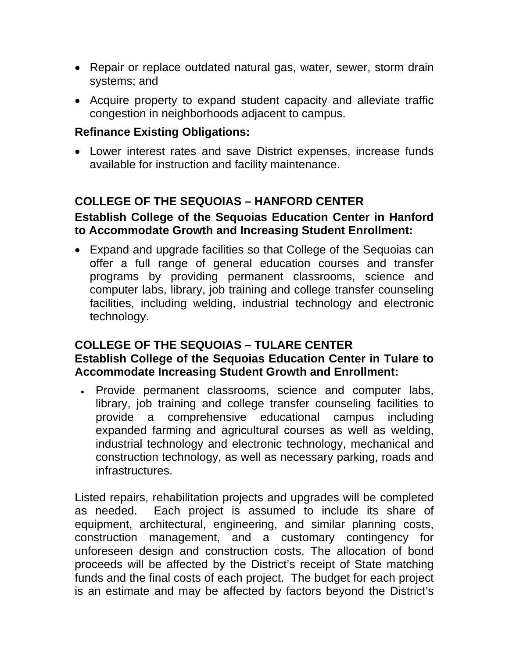- Repair or replace outdated natural gas, water, sewer, storm drain systems; and
- Acquire property to expand student capacity and alleviate traffic congestion in neighborhoods adjacent to campus.

#### **Refinance Existing Obligations:**

• Lower interest rates and save District expenses, increase funds available for instruction and facility maintenance.

### **COLLEGE OF THE SEQUOIAS – HANFORD CENTER**

### **Establish College of the Sequoias Education Center in Hanford to Accommodate Growth and Increasing Student Enrollment:**

• Expand and upgrade facilities so that College of the Sequoias can offer a full range of general education courses and transfer programs by providing permanent classrooms, science and computer labs, library, job training and college transfer counseling facilities, including welding, industrial technology and electronic technology.

### **COLLEGE OF THE SEQUOIAS – TULARE CENTER Establish College of the Sequoias Education Center in Tulare to Accommodate Increasing Student Growth and Enrollment:**

• Provide permanent classrooms, science and computer labs, library, job training and college transfer counseling facilities to provide a comprehensive educational campus including expanded farming and agricultural courses as well as welding, industrial technology and electronic technology, mechanical and construction technology, as well as necessary parking, roads and infrastructures.

Listed repairs, rehabilitation projects and upgrades will be completed as needed. Each project is assumed to include its share of equipment, architectural, engineering, and similar planning costs, construction management, and a customary contingency for unforeseen design and construction costs. The allocation of bond proceeds will be affected by the District's receipt of State matching funds and the final costs of each project. The budget for each project is an estimate and may be affected by factors beyond the District's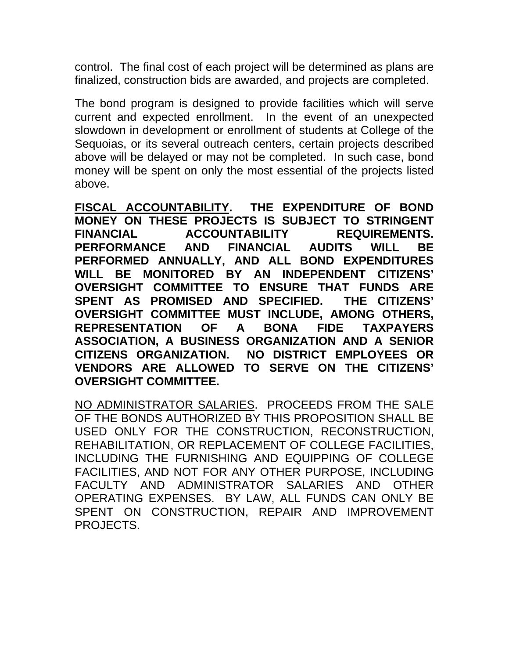control. The final cost of each project will be determined as plans are finalized, construction bids are awarded, and projects are completed.

The bond program is designed to provide facilities which will serve current and expected enrollment. In the event of an unexpected slowdown in development or enrollment of students at College of the Sequoias, or its several outreach centers, certain projects described above will be delayed or may not be completed. In such case, bond money will be spent on only the most essential of the projects listed above.

**FISCAL ACCOUNTABILITY. THE EXPENDITURE OF BOND MONEY ON THESE PROJECTS IS SUBJECT TO STRINGENT FINANCIAL ACCOUNTABILITY REQUIREMENTS. PERFORMANCE AND FINANCIAL AUDITS WILL BE PERFORMED ANNUALLY, AND ALL BOND EXPENDITURES WILL BE MONITORED BY AN INDEPENDENT CITIZENS' OVERSIGHT COMMITTEE TO ENSURE THAT FUNDS ARE SPENT AS PROMISED AND SPECIFIED. THE CITIZENS' OVERSIGHT COMMITTEE MUST INCLUDE, AMONG OTHERS, REPRESENTATION OF A BONA FIDE TAXPAYERS ASSOCIATION, A BUSINESS ORGANIZATION AND A SENIOR CITIZENS ORGANIZATION. NO DISTRICT EMPLOYEES OR VENDORS ARE ALLOWED TO SERVE ON THE CITIZENS' OVERSIGHT COMMITTEE.** 

NO ADMINISTRATOR SALARIES. PROCEEDS FROM THE SALE OF THE BONDS AUTHORIZED BY THIS PROPOSITION SHALL BE USED ONLY FOR THE CONSTRUCTION, RECONSTRUCTION, REHABILITATION, OR REPLACEMENT OF COLLEGE FACILITIES, INCLUDING THE FURNISHING AND EQUIPPING OF COLLEGE FACILITIES, AND NOT FOR ANY OTHER PURPOSE, INCLUDING FACULTY AND ADMINISTRATOR SALARIES AND OTHER OPERATING EXPENSES. BY LAW, ALL FUNDS CAN ONLY BE SPENT ON CONSTRUCTION, REPAIR AND IMPROVEMENT PROJECTS.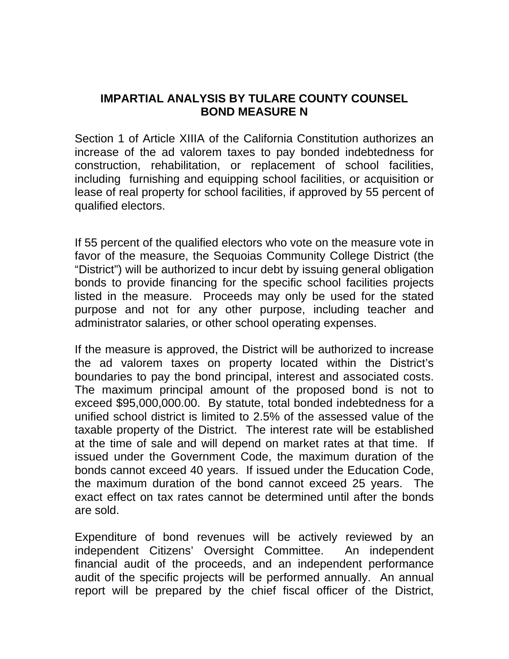### **IMPARTIAL ANALYSIS BY TULARE COUNTY COUNSEL BOND MEASURE N**

Section 1 of Article XIIIA of the California Constitution authorizes an increase of the ad valorem taxes to pay bonded indebtedness for construction, rehabilitation, or replacement of school facilities, including furnishing and equipping school facilities, or acquisition or lease of real property for school facilities, if approved by 55 percent of qualified electors.

If 55 percent of the qualified electors who vote on the measure vote in favor of the measure, the Sequoias Community College District (the "District") will be authorized to incur debt by issuing general obligation bonds to provide financing for the specific school facilities projects listed in the measure. Proceeds may only be used for the stated purpose and not for any other purpose, including teacher and administrator salaries, or other school operating expenses.

If the measure is approved, the District will be authorized to increase the ad valorem taxes on property located within the District's boundaries to pay the bond principal, interest and associated costs. The maximum principal amount of the proposed bond is not to exceed \$95,000,000.00. By statute, total bonded indebtedness for a unified school district is limited to 2.5% of the assessed value of the taxable property of the District. The interest rate will be established at the time of sale and will depend on market rates at that time. If issued under the Government Code, the maximum duration of the bonds cannot exceed 40 years. If issued under the Education Code, the maximum duration of the bond cannot exceed 25 years. The exact effect on tax rates cannot be determined until after the bonds are sold.

Expenditure of bond revenues will be actively reviewed by an independent Citizens' Oversight Committee. An independent financial audit of the proceeds, and an independent performance audit of the specific projects will be performed annually. An annual report will be prepared by the chief fiscal officer of the District,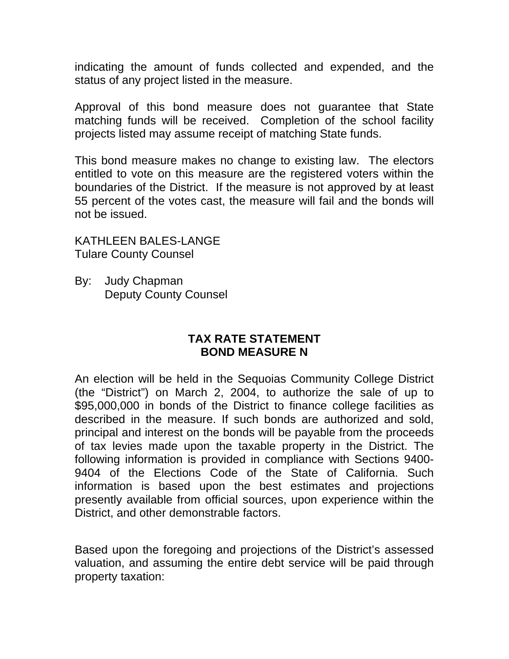indicating the amount of funds collected and expended, and the status of any project listed in the measure.

Approval of this bond measure does not guarantee that State matching funds will be received. Completion of the school facility projects listed may assume receipt of matching State funds.

This bond measure makes no change to existing law. The electors entitled to vote on this measure are the registered voters within the boundaries of the District. If the measure is not approved by at least 55 percent of the votes cast, the measure will fail and the bonds will not be issued.

KATHLEEN BALES-LANGE Tulare County Counsel

By: Judy Chapman Deputy County Counsel

#### **TAX RATE STATEMENT BOND MEASURE N**

An election will be held in the Sequoias Community College District (the "District") on March 2, 2004, to authorize the sale of up to \$95,000,000 in bonds of the District to finance college facilities as described in the measure. If such bonds are authorized and sold, principal and interest on the bonds will be payable from the proceeds of tax levies made upon the taxable property in the District. The following information is provided in compliance with Sections 9400- 9404 of the Elections Code of the State of California. Such information is based upon the best estimates and projections presently available from official sources, upon experience within the District, and other demonstrable factors.

Based upon the foregoing and projections of the District's assessed valuation, and assuming the entire debt service will be paid through property taxation: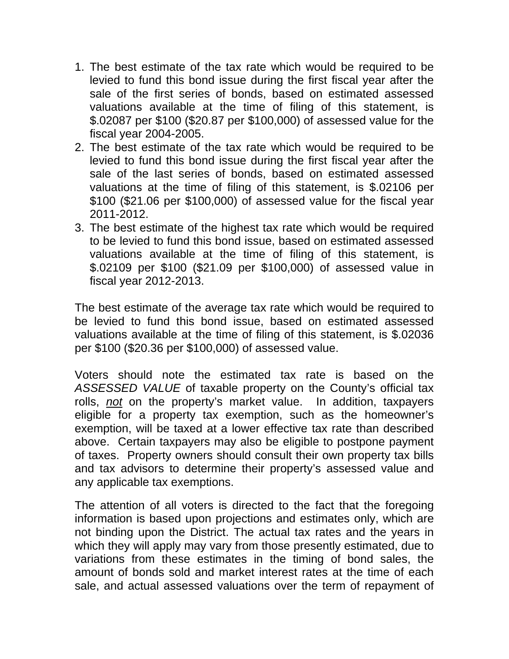- 1. The best estimate of the tax rate which would be required to be levied to fund this bond issue during the first fiscal year after the sale of the first series of bonds, based on estimated assessed valuations available at the time of filing of this statement, is \$.02087 per \$100 (\$20.87 per \$100,000) of assessed value for the fiscal year 2004-2005.
- 2. The best estimate of the tax rate which would be required to be levied to fund this bond issue during the first fiscal year after the sale of the last series of bonds, based on estimated assessed valuations at the time of filing of this statement, is \$.02106 per \$100 (\$21.06 per \$100,000) of assessed value for the fiscal year 2011-2012.
- 3. The best estimate of the highest tax rate which would be required to be levied to fund this bond issue, based on estimated assessed valuations available at the time of filing of this statement, is \$.02109 per \$100 (\$21.09 per \$100,000) of assessed value in fiscal year 2012-2013.

The best estimate of the average tax rate which would be required to be levied to fund this bond issue, based on estimated assessed valuations available at the time of filing of this statement, is \$.02036 per \$100 (\$20.36 per \$100,000) of assessed value.

Voters should note the estimated tax rate is based on the *ASSESSED VALUE* of taxable property on the County's official tax rolls, *not* on the property's market value. In addition, taxpayers eligible for a property tax exemption, such as the homeowner's exemption, will be taxed at a lower effective tax rate than described above. Certain taxpayers may also be eligible to postpone payment of taxes. Property owners should consult their own property tax bills and tax advisors to determine their property's assessed value and any applicable tax exemptions.

The attention of all voters is directed to the fact that the foregoing information is based upon projections and estimates only, which are not binding upon the District. The actual tax rates and the years in which they will apply may vary from those presently estimated, due to variations from these estimates in the timing of bond sales, the amount of bonds sold and market interest rates at the time of each sale, and actual assessed valuations over the term of repayment of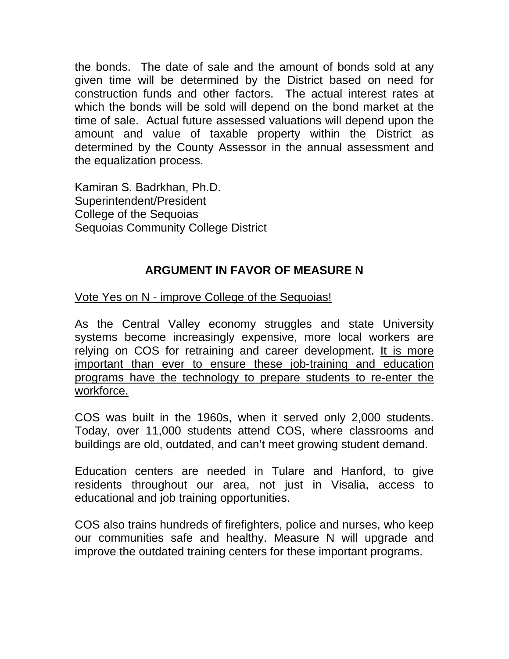the bonds. The date of sale and the amount of bonds sold at any given time will be determined by the District based on need for construction funds and other factors. The actual interest rates at which the bonds will be sold will depend on the bond market at the time of sale. Actual future assessed valuations will depend upon the amount and value of taxable property within the District as determined by the County Assessor in the annual assessment and the equalization process.

Kamiran S. Badrkhan, Ph.D. Superintendent/President College of the Sequoias Sequoias Community College District

# **ARGUMENT IN FAVOR OF MEASURE N**

Vote Yes on N - improve College of the Sequoias!

As the Central Valley economy struggles and state University systems become increasingly expensive, more local workers are relying on COS for retraining and career development. It is more important than ever to ensure these job-training and education programs have the technology to prepare students to re-enter the workforce.

COS was built in the 1960s, when it served only 2,000 students. Today, over 11,000 students attend COS, where classrooms and buildings are old, outdated, and can't meet growing student demand.

Education centers are needed in Tulare and Hanford, to give residents throughout our area, not just in Visalia, access to educational and job training opportunities.

COS also trains hundreds of firefighters, police and nurses, who keep our communities safe and healthy. Measure N will upgrade and improve the outdated training centers for these important programs.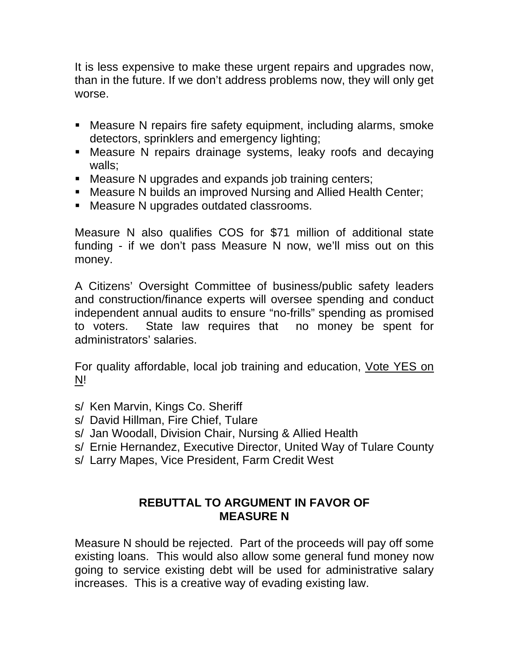It is less expensive to make these urgent repairs and upgrades now, than in the future. If we don't address problems now, they will only get worse.

- Measure N repairs fire safety equipment, including alarms, smoke detectors, sprinklers and emergency lighting;
- Measure N repairs drainage systems, leaky roofs and decaying walls;
- **Measure N upgrades and expands job training centers;**
- Measure N builds an improved Nursing and Allied Health Center;
- Measure N upgrades outdated classrooms.

Measure N also qualifies COS for \$71 million of additional state funding - if we don't pass Measure N now, we'll miss out on this money.

A Citizens' Oversight Committee of business/public safety leaders and construction/finance experts will oversee spending and conduct independent annual audits to ensure "no-frills" spending as promised to voters. State law requires that no money be spent for administrators' salaries.

For quality affordable, local job training and education, Vote YES on N!

- s/ Ken Marvin, Kings Co. Sheriff
- s/ David Hillman, Fire Chief, Tulare
- s/ Jan Woodall, Division Chair, Nursing & Allied Health
- s/ Ernie Hernandez, Executive Director, United Way of Tulare County
- s/ Larry Mapes, Vice President, Farm Credit West

# **REBUTTAL TO ARGUMENT IN FAVOR OF MEASURE N**

Measure N should be rejected. Part of the proceeds will pay off some existing loans. This would also allow some general fund money now going to service existing debt will be used for administrative salary increases. This is a creative way of evading existing law.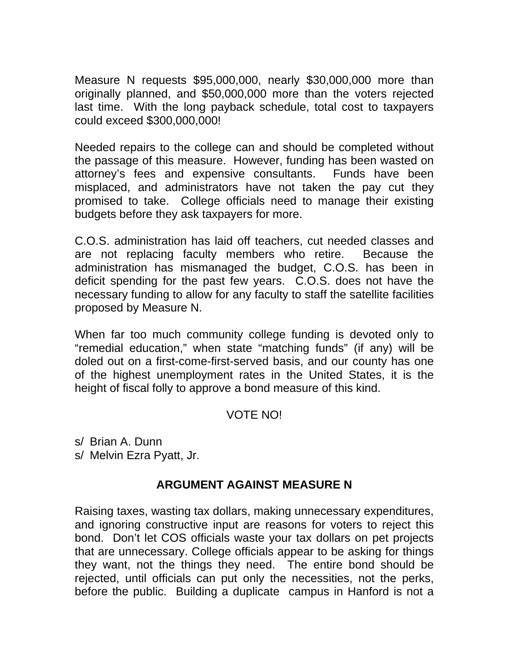Measure N requests \$95,000,000, nearly \$30,000,000 more than originally planned, and \$50,000,000 more than the voters rejected last time. With the long payback schedule, total cost to taxpayers could exceed \$300,000,000!

Needed repairs to the college can and should be completed without the passage of this measure. However, funding has been wasted on attorney's fees and expensive consultants. Funds have been misplaced, and administrators have not taken the pay cut they promised to take. College officials need to manage their existing budgets before they ask taxpayers for more.

C.O.S. administration has laid off teachers, cut needed classes and are not replacing faculty members who retire. Because the administration has mismanaged the budget, C.O.S. has been in deficit spending for the past few years. C.O.S. does not have the necessary funding to allow for any faculty to staff the satellite facilities proposed by Measure N.

When far too much community college funding is devoted only to "remedial education," when state "matching funds" (if any) will be doled out on a first-come-first-served basis, and our county has one of the highest unemployment rates in the United States, it is the height of fiscal folly to approve a bond measure of this kind.

#### VOTE NO!

s/ Brian A. Dunn s/ Melvin Ezra Pyatt, Jr.

# **ARGUMENT AGAINST MEASURE N**

Raising taxes, wasting tax dollars, making unnecessary expenditures, and ignoring constructive input are reasons for voters to reject this bond. Don't let COS officials waste your tax dollars on pet projects that are unnecessary. College officials appear to be asking for things they want, not the things they need. The entire bond should be rejected, until officials can put only the necessities, not the perks, before the public. Building a duplicate campus in Hanford is not a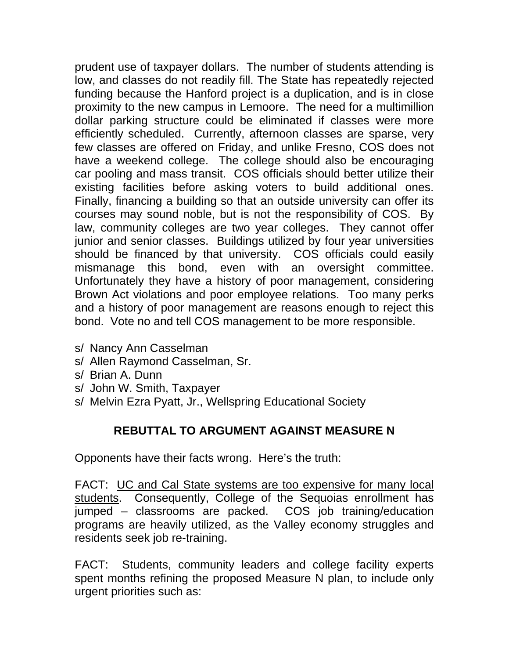prudent use of taxpayer dollars. The number of students attending is low, and classes do not readily fill. The State has repeatedly rejected funding because the Hanford project is a duplication, and is in close proximity to the new campus in Lemoore. The need for a multimillion dollar parking structure could be eliminated if classes were more efficiently scheduled. Currently, afternoon classes are sparse, very few classes are offered on Friday, and unlike Fresno, COS does not have a weekend college. The college should also be encouraging car pooling and mass transit. COS officials should better utilize their existing facilities before asking voters to build additional ones. Finally, financing a building so that an outside university can offer its courses may sound noble, but is not the responsibility of COS. By law, community colleges are two year colleges. They cannot offer junior and senior classes. Buildings utilized by four year universities should be financed by that university. COS officials could easily mismanage this bond, even with an oversight committee. Unfortunately they have a history of poor management, considering Brown Act violations and poor employee relations. Too many perks and a history of poor management are reasons enough to reject this bond. Vote no and tell COS management to be more responsible.

- s/ Nancy Ann Casselman
- s/ Allen Raymond Casselman, Sr.
- s/ Brian A. Dunn
- s/ John W. Smith, Taxpayer
- s/ Melvin Ezra Pyatt, Jr., Wellspring Educational Society

#### **REBUTTAL TO ARGUMENT AGAINST MEASURE N**

Opponents have their facts wrong. Here's the truth:

FACT: UC and Cal State systems are too expensive for many local students. Consequently, College of the Sequoias enrollment has jumped – classrooms are packed. COS job training/education programs are heavily utilized, as the Valley economy struggles and residents seek job re-training.

FACT: Students, community leaders and college facility experts spent months refining the proposed Measure N plan, to include only urgent priorities such as: